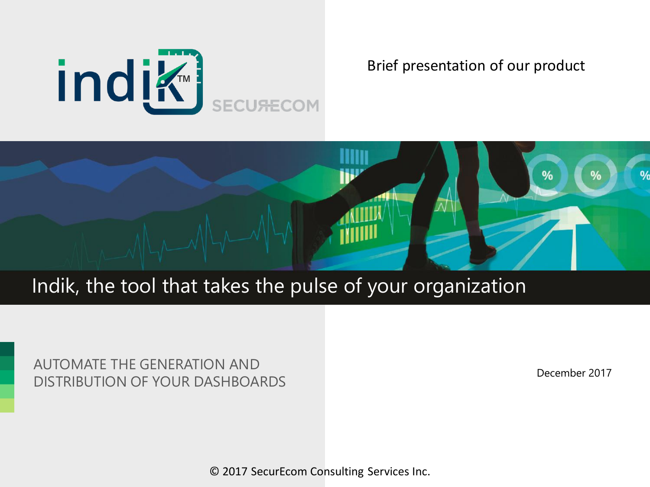

#### Brief presentation of our product



### Indik, the tool that takes the pulse of your organization

AUTOMATE THE GENERATION AND DISTRIBUTION OF YOUR DASHBOARDS

December 2017

© 2017 SecurEcom Consulting Services Inc.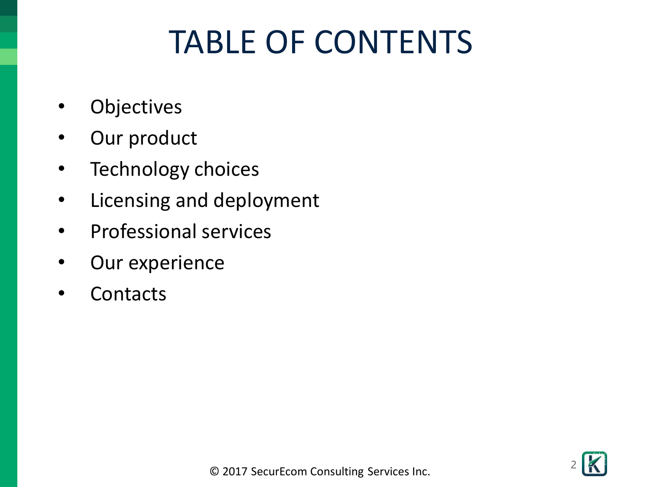# TABLE OF CONTENTS

- **Objectives**
- Our product
- Technology choices
- Licensing and deployment
- Professional services
- Our experience
- **Contacts**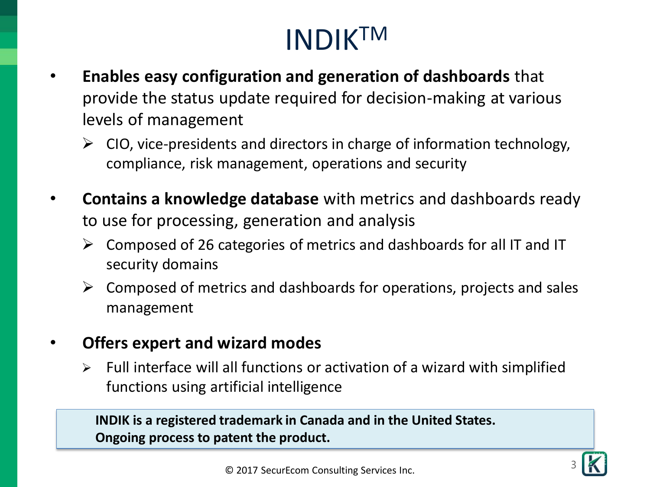## INDIKTM

- **Enables easy configuration and generation of dashboards** that provide the status update required for decision-making at various levels of management
	- $\triangleright$  CIO, vice-presidents and directors in charge of information technology, compliance, risk management, operations and security
- **Contains a knowledge database** with metrics and dashboards ready to use for processing, generation and analysis
	- $\triangleright$  Composed of 26 categories of metrics and dashboards for all IT and IT security domains
	- $\triangleright$  Composed of metrics and dashboards for operations, projects and sales management
- **Offers expert and wizard modes**
	- $\triangleright$  Full interface will all functions or activation of a wizard with simplified functions using artificial intelligence

**INDIK is a registered trademark in Canada and in the United States. Ongoing process to patent the product.**



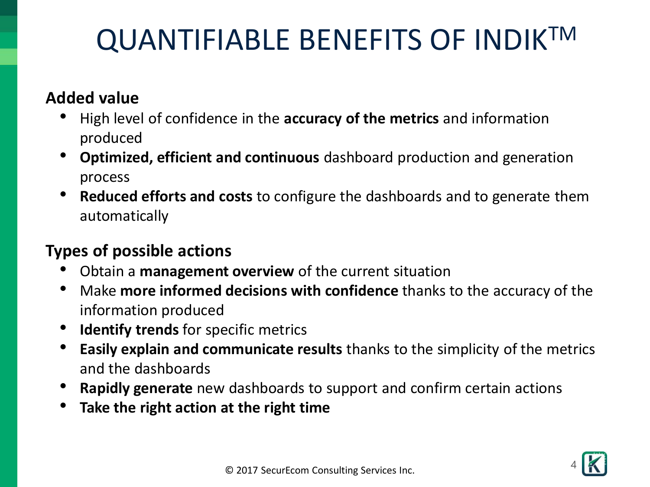## QUANTIFIABLE BENEFITS OF INDIKTM

### **Added value**

- High level of confidence in the **accuracy of the metrics** and information produced
- **Optimized, efficient and continuous** dashboard production and generation process
- **Reduced efforts and costs** to configure the dashboards and to generate them automatically

### **Types of possible actions**

- Obtain a **management overview** of the current situation
- Make **more informed decisions with confidence** thanks to the accuracy of the information produced
- **Identify trends** for specific metrics
- **Easily explain and communicate results** thanks to the simplicity of the metrics and the dashboards
- **Rapidly generate** new dashboards to support and confirm certain actions
- **Take the right action at the right time**

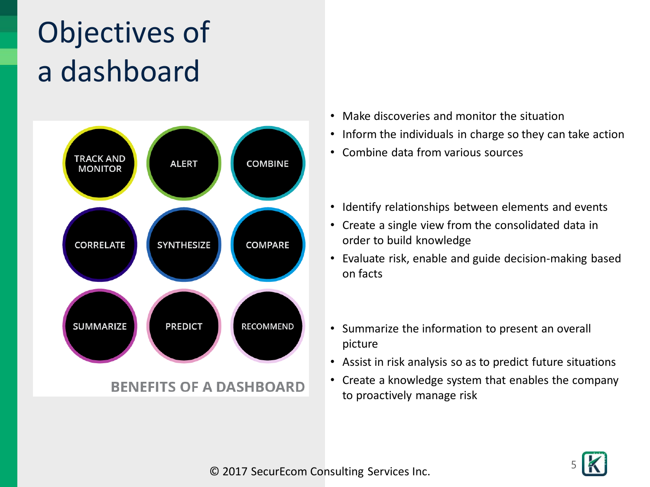# Objectives of a dashboard



#### **BENEFITS OF A DASHBOARD**

- Make discoveries and monitor the situation
- Inform the individuals in charge so they can take action
- Combine data from various sources
- Identify relationships between elements and events
- Create a single view from the consolidated data in order to build knowledge
- Evaluate risk, enable and guide decision-making based on facts
- Summarize the information to present an overall picture
- Assist in risk analysis so as to predict future situations
- Create a knowledge system that enables the company to proactively manage risk

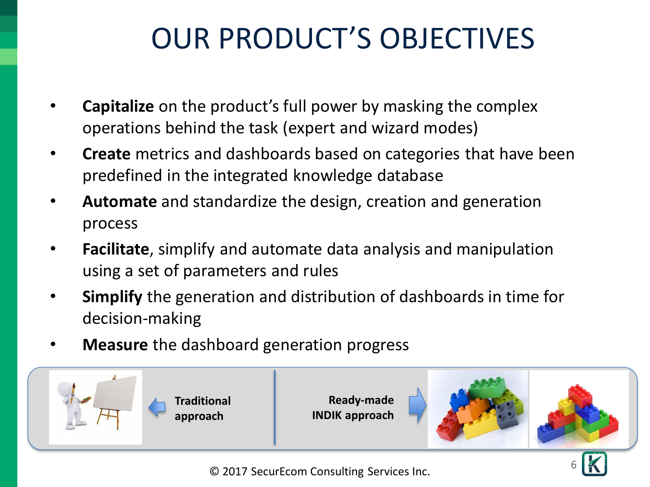## OUR PRODUCT'S OBJECTIVES

- **Capitalize** on the product's full power by masking the complex operations behind the task (expert and wizard modes)
- **Create** metrics and dashboards based on categories that have been predefined in the integrated knowledge database
- **Automate** and standardize the design, creation and generation process
- **Facilitate**, simplify and automate data analysis and manipulation using a set of parameters and rules
- **Simplify** the generation and distribution of dashboards in time for decision-making
- **Measure** the dashboard generation progress



© 2017 SecurEcom Consulting Services Inc.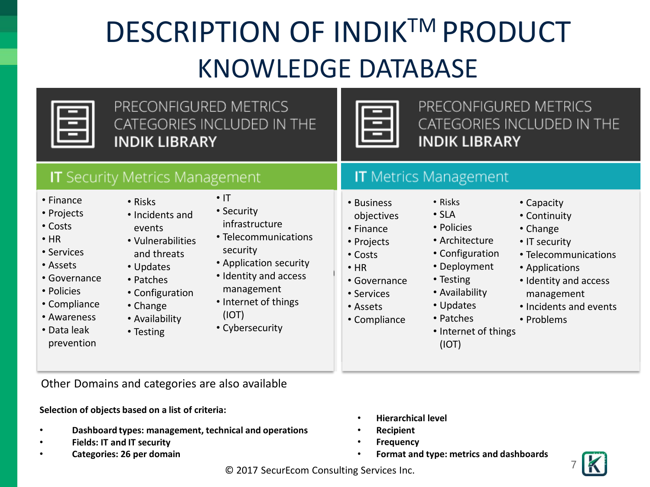## DESCRIPTION OF INDIK™ PRODUCT KNOWLEDGE DATABASE

PRECONFIGURED METRICS CATEGORIES INCLUDED IN THE **INDIK LIBRARY** 



PRECONFIGURED METRICS CATEGORIES INCLUDED IN THE **INDIK LIBRARY** 

#### **IT** Security Metrics Management

- Finance
- Projects
- Costs
- HR
- Services
- Assets
- Governance
- Policies
- Compliance
- Awareness
- Data leak prevention
- Risks
- Incidents and events
- Vulnerabilities and threats
- Updates
- Patches
- Configuration
- Change
- Availability
- Testing
- $\cdot$  IT • Security
- infrastructure
- Telecommunications security
- Application security
- Identity and access management
- Internet of things (IOT)
- Cybersecurity

**IT** Metrics Management

• Risks  $\cdot$  SLA • Policies • Architecture • Configuration • Deployment

- Business objectives
- Finance
- Projects
- Costs
- HR
- Governance
- Services
- Assets
- Compliance
- 
- 
- 
- Testing • Availability
	- Updates
		- Patches
		- Internet of things (IOT)
- Capacity
- Continuity
- Change
- IT security
- Telecommunications
- Applications
- Identity and access management
- Incidents and events
- Problems
- 

Other Domains and categories are also available

#### **Selection of objects based on a list of criteria:**

- **Dashboard types: management, technical and operations**
- **Fields: IT and IT security**
- **Categories: 26 per domain**
- **Hierarchical level**
- **Recipient**
- **Frequency**
- **Format and type: metrics and dashboards**



© 2017 SecurEcom Consulting Services Inc.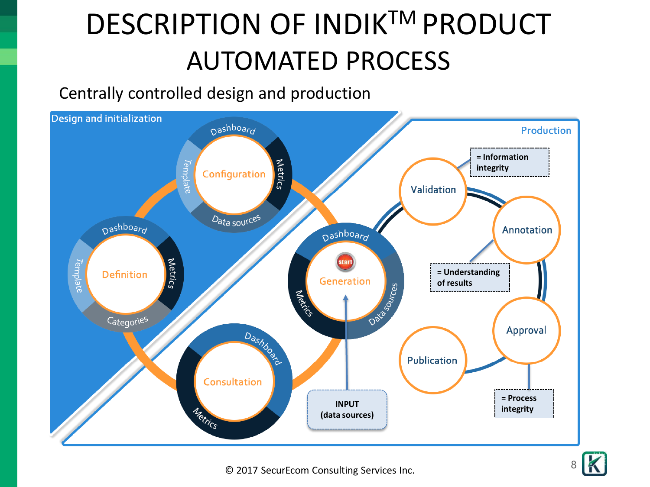# DESCRIPTION OF INDIK<sup>™</sup> PRODUCT AUTOMATED PROCESS

Centrally controlled design and production



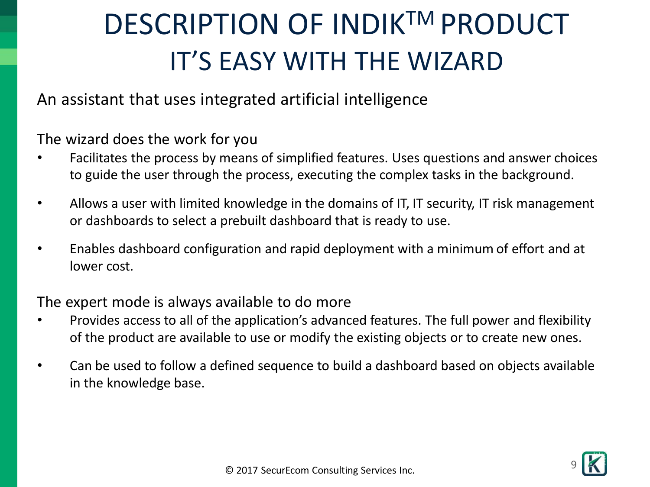## DESCRIPTION OF INDIK<sup>™</sup> PRODUCT IT'S EASY WITH THE WIZARD

An assistant that uses integrated artificial intelligence

The wizard does the work for you

- Facilitates the process by means of simplified features. Uses questions and answer choices to guide the user through the process, executing the complex tasks in the background.
- Allows a user with limited knowledge in the domains of IT, IT security, IT risk management or dashboards to select a prebuilt dashboard that is ready to use.
- Enables dashboard configuration and rapid deployment with a minimum of effort and at lower cost.

The expert mode is always available to do more

- Provides access to all of the application's advanced features. The full power and flexibility of the product are available to use or modify the existing objects or to create new ones.
- Can be used to follow a defined sequence to build a dashboard based on objects available in the knowledge base.

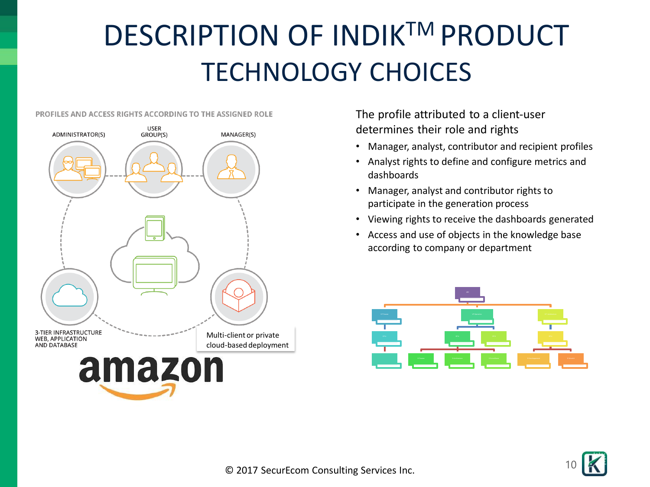## DESCRIPTION OF INDIK<sup>™</sup> PRODUCT TECHNOLOGY CHOICES

#### **PROFILES AND ACCESS RIGHTS ACCORDING TO THE ASSIGNED ROLE**



The profile attributed to a client-user determines their role and rights

- Manager, analyst, contributor and recipient profiles
- Analyst rights to define and configure metrics and dashboards
- Manager, analyst and contributor rights to participate in the generation process
- Viewing rights to receive the dashboards generated
- Access and use of objects in the knowledge base according to company or department



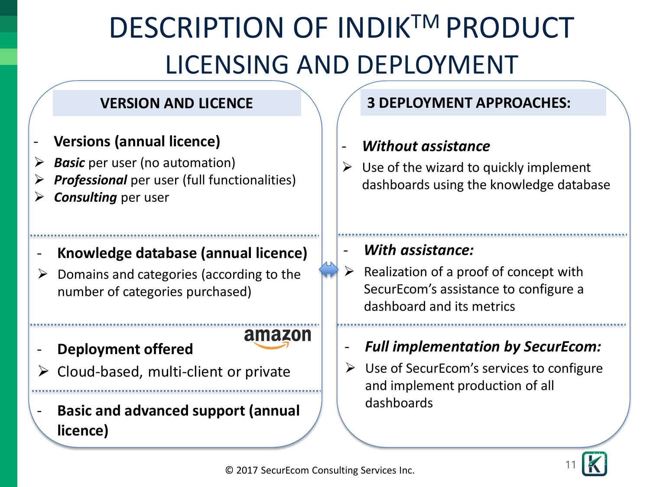# DESCRIPTION OF INDIK<sup>™</sup> PRODUCT LICENSING AND DEPLOYMENT

#### **VERSION AND LICENCE**

- **Versions (annual licence)**
- **Basic** per user (no automation)
- ➢ *Professional* per user (full functionalities)
- ➢ *Consulting* per user

#### - **Knowledge database (annual licence)**

- ➢ Domains and categories (according to the number of categories purchased)
- **Deployment offered**
- ➢ Cloud-based, multi-client or private
- **Basic and advanced support (annual licence)**

### **3 DEPLOYMENT APPROACHES:**

#### - *Without assistance*

Use of the wizard to quickly implement dashboards using the knowledge database

### , utilisation de l'assistant pour le produit de l'assistant pour le produit de l'assistant pour le produit de<br>L'assistant pour le produit de la produit de la produit de la produit de la produit de la produit de la produi *implantiful massistance:*

- $\triangleright$  Realization of a proof of concept with SecurEcom's assistance to configure a dashboard and its metrics
- *Full implementation by SecurEcom:*
- Use of SecurEcom's services to configure and implement production of all dashboards



amazon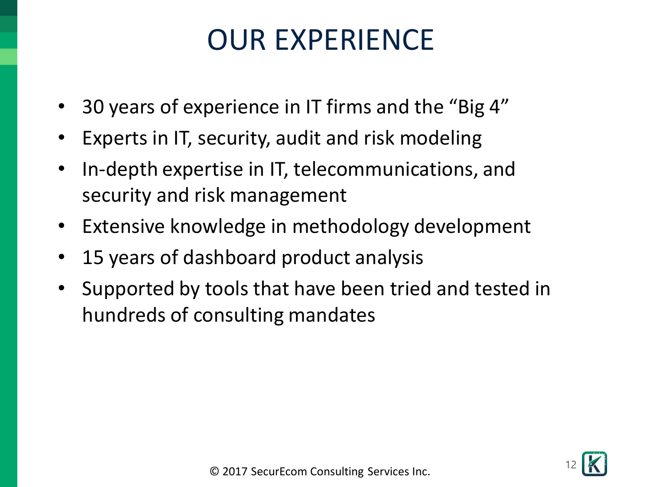### OUR EXPERIENCE

- 30 years of experience in IT firms and the "Big 4"
- Experts in IT, security, audit and risk modeling
- In-depth expertise in IT, telecommunications, and security and risk management
- Extensive knowledge in methodology development
- 15 years of dashboard product analysis
- Supported by tools that have been tried and tested in hundreds of consulting mandates